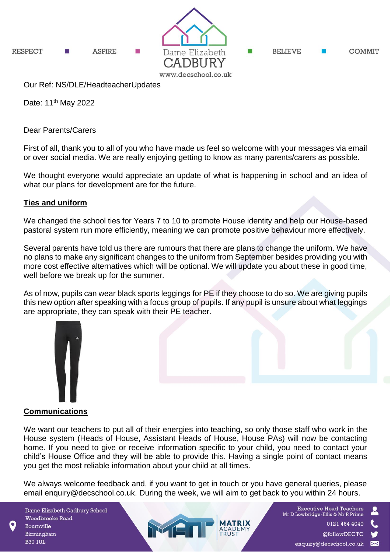

Date: 11<sup>th</sup> May 2022

Dear Parents/Carers

First of all, thank you to all of you who have made us feel so welcome with your messages via email or over social media. We are really enjoying getting to know as many parents/carers as possible.

We thought everyone would appreciate an update of what is happening in school and an idea of what our plans for development are for the future.

# **Ties and uniform**

We changed the school ties for Years 7 to 10 to promote House identity and help our House-based pastoral system run more efficiently, meaning we can promote positive behaviour more effectively.

Several parents have told us there are rumours that there are plans to change the uniform. We have no plans to make any significant changes to the uniform from September besides providing you with more cost effective alternatives which will be optional. We will update you about these in good time, well before we break up for the summer.

As of now, pupils can wear black sports leggings for PE if they choose to do so. We are giving pupils this new option after speaking with a focus group of pupils. If any pupil is unsure about what leggings are appropriate, they can speak with their PE teacher.



# **Communications**

We want our teachers to put all of their energies into teaching, so only those staff who work in the House system (Heads of House, Assistant Heads of House, House PAs) will now be contacting home. If you need to give or receive information specific to your child, you need to contact your child's House Office and they will be able to provide this. Having a single point of contact means you get the most reliable information about your child at all times.

We always welcome feedback and, if you want to get in touch or you have general queries, please email enquiry@decschool.co.uk. During the week, we will aim to get back to you within 24 hours.

MAI

Dame Elizabeth Cadbury School Woodbrooke Road Bournville Birmingham **B30 1UL** 

**Executive Head Teachers** Mr D Lowbridge-Ellis & Mr R Prime 0121 464 4040 @followDECTC enquiry@decschool.co.uk